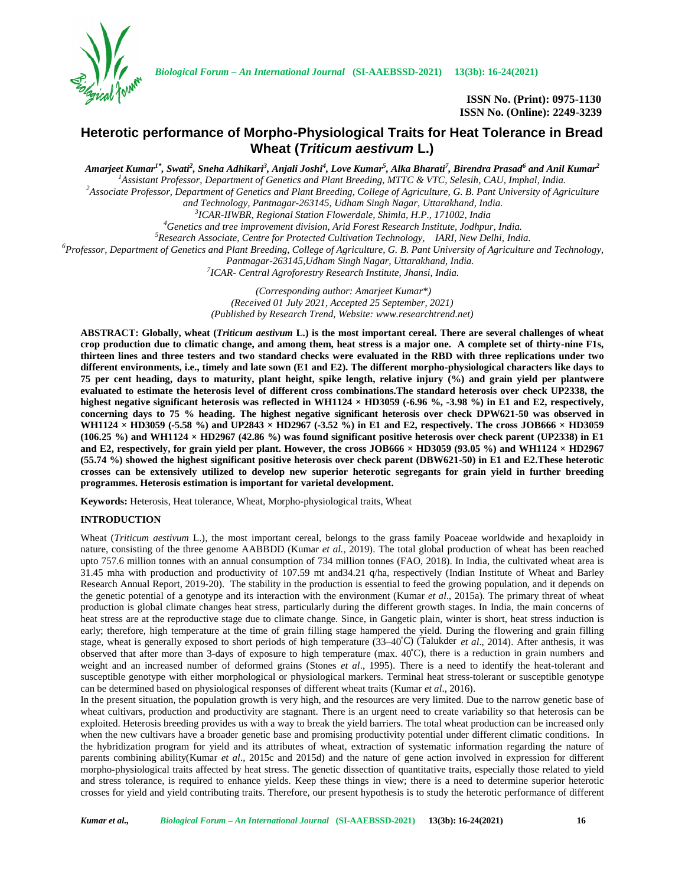

*Biological Forum – An International Journal* **(SI-AAEBSSD-2021) 13(3b): 16-24(2021)**

**ISSN No. (Print): 0975-1130 ISSN No. (Online): 2249-3239**

# **Heterotic performance of Morpho-Physiological Traits for Heat Tolerance in Bread Wheat (***Triticum aestivum* **L.)**

Amarjeet Kumar<sup>1\*</sup>, Swati<sup>2</sup>, Sneha Adhikari<sup>3</sup>, Anjali Joshi<sup>4</sup>, Love Kumar<sup>5</sup>, Alka Bharati<sup>7</sup>, Birendra Prasad<sup>6</sup> and Anil Kumar<sup>2</sup> <sup>1</sup>Assistant Professor, Department of Genetics and Plant Breeding, MTTC & VTC, Selesih, CAU, Imphal, India.<br><sup>2</sup>Associate Professor, Department of Genetics and Plant Breeding, College of Agriculture, G. B. Pant University o

*and Technology, Pantnagar-263145, Udham Singh Nagar, Uttarakhand, India. <sup>3</sup>*

*ICAR-IIWBR, Regional Station Flowerdale, Shimla, H.P., 171002, India*

<sup>4</sup>Genetics and tree improvement division, Arid Forest Research Institute, Jodhpur, India.<br><sup>5</sup>Research Associate, Centre for Protected Cultivation Technology, IARI, New Delhi, India.<br><sup>6</sup>Professor, Department of Genetics an

*Pantnagar-263145,Udham Singh Nagar, Uttarakhand, India. <sup>7</sup>*

*ICAR- Central Agroforestry Research Institute, Jhansi, India.*

*(Corresponding author: Amarjeet Kumar\*) (Received 01 July 2021, Accepted 25 September, 2021) (Published by Research Trend, Website: <www.researchtrend.net>)*

**ABSTRACT: Globally, wheat (***Triticum aestivum* **L.) is the most important cereal. There are several challenges of wheat crop production due to climatic change, and among them, heat stress is a major one. A complete set of thirty-nine F1s, thirteen lines and three testers and two standard checks were evaluated in the RBD with three replications under two different environments, i.e., timely and late sown (E1 and E2). The different morpho-physiological characters like days to 75 per cent heading, days to maturity, plant height, spike length, relative injury (%) and grain yield per plantwere evaluated to estimate the heterosis level of different cross combinations.The standard heterosis over check UP2338, the highest negative significant heterosis was reflected in WH1124 × HD3059 (-6.96 %, -3.98 %) in E1 and E2, respectively, concerning days to 75 % heading. The highest negative significant heterosis over check DPW621-50 was observed in WH1124 × HD3059 (-5.58 %) and UP2843 × HD2967 (-3.52 %) in E1 and E2, respectively. The cross JOB666 × HD3059 (106.25 %) and WH1124 × HD2967 (42.86 %) was found significant positive heterosis over check parent (UP2338) in E1** and E2, respectively, for grain yield per plant. However, the cross  $JOB666 \times HD3059$  (93.05 %) and WH1124  $\times HD2967$ **(55.74 %) showed the highest significant positive heterosis over check parent (DBW621-50) in E1 and E2.These heterotic crosses can be extensively utilized to develop new superior heterotic segregants for grain yield in further breeding programmes. Heterosis estimation is important for varietal development.**

**Keywords:** Heterosis, Heat tolerance, Wheat, Morpho-physiological traits, Wheat

# **INTRODUCTION**

Wheat (*Triticum aestivum* L.), the most important cereal, belongs to the grass family Poaceae worldwide and hexaploidy in nature, consisting of the three genome AABBDD (Kumar *et al.,* 2019). The total global production of wheat has been reached upto 757.6 million tonnes with an annual consumption of 734 million tonnes (FAO, 2018). In India, the cultivated wheat area is 31.45 mha with production and productivity of 107.59 mt and34.21 q/ha, respectively (Indian Institute of Wheat and Barley Research Annual Report, 2019-20). The stability in the production is essential to feed the growing population, and it depends on the genetic potential of a genotype and its interaction with the environment (Kumar *et al*., 2015a). The primary threat of wheat production is global climate changes heat stress, particularly during the different growth stages. In India, the main concerns of heat stress are at the reproductive stage due to climate change. Since, in Gangetic plain, winter is short, heat stress induction is early; therefore, high temperature at the time of grain filling stage hampered the yield. During the flowering and grain filling stage, wheat is generally exposed to short periods of high temperature (33–40˚C) (Talukder *et al*., 2014). After anthesis, it was observed that after more than 3-days of exposure to high temperature (max.  $40^{\circ}$ C), there is a reduction in grain numbers and weight and an increased number of deformed grains (Stones *et al*., 1995). There is a need to identify the heat-tolerant and susceptible genotype with either morphological or physiological markers. Terminal heat stress-tolerant or susceptible genotype can be determined based on physiological responses of different wheat traits (Kumar *et al*., 2016).

In the present situation, the population growth is very high, and the resources are very limited. Due to the narrow genetic base of wheat cultivars, production and productivity are stagnant. There is an urgent need to create variability so that heterosis can be exploited. Heterosis breeding provides us with a way to break the yield barriers. The total wheat production can be increased only when the new cultivars have a broader genetic base and promising productivity potential under different climatic conditions. In the hybridization program for yield and its attributes of wheat, extraction of systematic information regarding the nature of parents combining ability(Kumar *et al*., 2015c and 2015d) and the nature of gene action involved in expression for different morpho-physiological traits affected by heat stress. The genetic dissection of quantitative traits, especially those related to yield and stress tolerance, is required to enhance yields. Keep these things in view; there is a need to determine superior heterotic crosses for yield and yield contributing traits. Therefore, our present hypothesis is to study the heterotic performance of different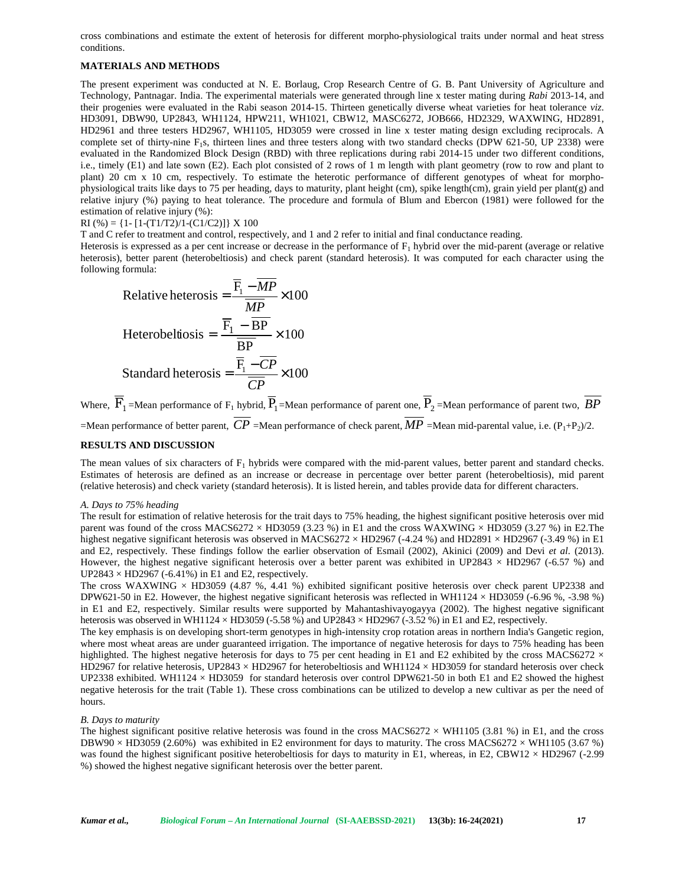cross combinations and estimate the extent of heterosis for different morpho-physiological traits under normal and heat stress conditions.

# **MATERIALS AND METHODS**

The present experiment was conducted at N. E. Borlaug, Crop Research Centre of G. B. Pant University of Agriculture and Technology, Pantnagar. India. The experimental materials were generated through line x tester mating during *Rabi* 2013-14, and their progenies were evaluated in the Rabi season 2014-15. Thirteen genetically diverse wheat varieties for heat tolerance *viz*. HD3091, DBW90, UP2843, WH1124, HPW211, WH1021, CBW12, MASC6272, JOB666, HD2329, WAXWING, HD2891, HD2961 and three testers HD2967, WH1105, HD3059 were crossed in line x tester mating design excluding reciprocals. A complete set of thirty-nine  $F_1s$ , thirteen lines and three testers along with two standard checks (DPW 621-50, UP 2338) were evaluated in the Randomized Block Design (RBD) with three replications during rabi 2014-15 under two different conditions, i.e., timely (E1) and late sown (E2). Each plot consisted of 2 rows of 1 m length with plant geometry (row to row and plant to plant) 20 cm x 10 cm, respectively. To estimate the heterotic performance of different genotypes of wheat for morpho physiological traits like days to 75 per heading, days to maturity, plant height (cm), spike length(cm), grain yield per plant(g) and relative injury (%) paying to heat tolerance. The procedure and formula of Blum and Ebercon (1981) were followed for the estimation of relative injury (%):

## $RI$  (%) = {1- [1-(T1/T2)/1-(C1/C2)]} X 100

T and C refer to treatment and control, respectively, and 1 and 2 refer to initial and final conductance reading.

Heterosis is expressed as a per cent increase or decrease in the performance of  $F_1$  hybrid over the mid-parent (average or relative heterosis), better parent (heterobeltiosis) and check parent (standard heterosis). It was computed for each character using the following formula:

Relative heterosis = 
$$
\frac{\overline{F}_1 - \overline{MP}}{\overline{MP}} \times 100
$$
  
Hereobeltiosis = 
$$
\frac{\overline{F}_1 - \overline{BP}}{\overline{BP}} \times 100
$$
  
Standard heterosis = 
$$
\frac{\overline{F}_1 - \overline{CP}}{\overline{CP}} \times 100
$$

Where,  $F_1$ =Mean performance of  $F_1$  hybrid,  $P_1$ =Mean performance of parent one,  $P_2$ =Mean performance of parent two,  $BP$ =Mean performance of better parent,  $CP$  =Mean performance of check parent,  $MP$  =Mean mid-parental value, i.e. (P<sub>1</sub>+P<sub>2</sub>)/2.

## **RESULTS AND DISCUSSION**

The mean values of six characters of  $F_1$  hybrids were compared with the mid-parent values, better parent and standard checks. Estimates of heterosis are defined as an increase or decrease in percentage over better parent (heterobeltiosis), mid parent (relative heterosis) and check variety (standard heterosis). It is listed herein, and tables provide data for different characters.

#### *A. Days to 75% heading*

The result for estimation of relative heterosis for the trait days to 75% heading, the highest significant positive heterosis over mid parent was found of the cross MACS6272  $\times$  HD3059 (3.23 %) in E1 and the cross WAXWING  $\times$  HD3059 (3.27 %) in E2. The highest negative significant heterosis was observed in MACS6272  $\times$  HD2967 (-4.24 %) and HD2891  $\times$  HD2967 (-3.49 %) in E1 and E2, respectively. These findings follow the earlier observation of Esmail (2002), Akinici (2009) and Devi *et al.* (2013). However, the highest negative significant heterosis over a better parent was exhibited in UP2843  $\times$  HD2967 (-6.57 %) and  $UP2843 \times HD2967$  (-6.41%) in E1 and E2, respectively.

The cross WAXWING  $\times$  HD3059 (4.87 %, 4.41 %) exhibited significant positive heterosis over check parent UP2338 and DPW621-50 in E2. However, the highest negative significant heterosis was reflected in WH1124  $\times$  HD3059 (-6.96 %, -3.98 %) in E1 and E2, respectively. Similar results were supported by Mahantashivayogayya (2002). The highest negative significant heterosis was observed in WH1124  $\times$  HD3059 (-5.58 %) and UP2843  $\times$  HD2967 (-3.52 %) in E1 and E2, respectively.

The key emphasis is on developing short-term genotypes in high-intensity crop rotation areas in northern India's Gangetic region, where most wheat areas are under guaranteed irrigation. The importance of negative heterosis for days to 75% heading has been highlighted. The highest negative heterosis for days to 75 per cent heading in E1 and E2 exhibited by the cross MACS6272  $\times$ HD2967 for relative heterosis, UP2843  $\times$  HD2967 for heterobeltiosis and WH1124  $\times$  HD3059 for standard heterosis over check UP2338 exhibited. WH1124  $\times$  HD3059 for standard heterosis over control DPW621-50 in both E1 and E2 showed the highest negative heterosis for the trait (Table 1). These cross combinations can be utilized to develop a new cultivar as per the need of hours.

#### *B. Days to maturity*

The highest significant positive relative heterosis was found in the cross MACS6272  $\times$  WH1105 (3.81 %) in E1, and the cross DBW90  $\times$  HD3059 (2.60%) was exhibited in E2 environment for days to maturity. The cross MACS6272  $\times$  WH1105 (3.67 %) was found the highest significant positive heterobeltiosis for days to maturity in E1, whereas, in E2, CBW12 × HD2967 (-2.99 %) showed the highest negative significant heterosis over the better parent.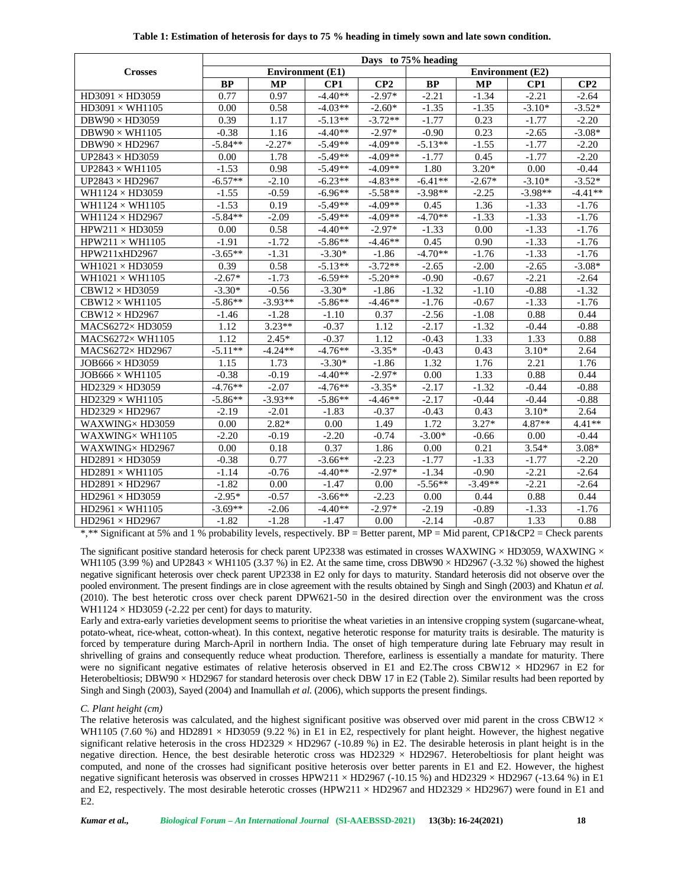|                                   | Days to 75% heading |           |                         |           |                         |           |           |           |  |  |
|-----------------------------------|---------------------|-----------|-------------------------|-----------|-------------------------|-----------|-----------|-----------|--|--|
| <b>Crosses</b>                    |                     |           | <b>Environment</b> (E1) |           | <b>Environment</b> (E2) |           |           |           |  |  |
|                                   | <b>BP</b>           | <b>MP</b> | CP1                     | CP2       | BP                      | <b>MP</b> | CP1       | CP2       |  |  |
| $HD3091 \times HD3059$            | 0.77                | 0.97      | $-4.40**$               | $-2.97*$  | $-2.21$                 | $-1.34$   | $-2.21$   | $-2.64$   |  |  |
| $HD3091 \times WH1105$            | 0.00                | 0.58      | $-4.03**$               | $-2.60*$  | $-1.35$                 | $-1.35$   | $-3.10*$  | $-3.52*$  |  |  |
| $DBW90 \times HD3059$             | 0.39                | 1.17      | $-5.13**$               | $-3.72**$ | $-1.77$                 | 0.23      | $-1.77$   | $-2.20$   |  |  |
| DBW90 $\times$ WH1105             | $-0.38$             | 1.16      | $-4.40**$               | $-2.97*$  | $-0.90$                 | 0.23      | $-2.65$   | $-3.08*$  |  |  |
| $DBW90 \times HD2967$             | $-5.84**$           | $-2.27*$  | $-5.49**$               | $-4.09**$ | $-5.13**$               | $-1.55$   | $-1.77$   | $-2.20$   |  |  |
| UP2843 $\times$ HD3059            | 0.00                | 1.78      | $-5.49**$               | $-4.09**$ | $-1.77$                 | 0.45      | $-1.77$   | $-2.20$   |  |  |
| $UP2843 \times WH1105$            | $-1.53$             | 0.98      | $-5.49**$               | $-4.09**$ | 1.80                    | $3.20*$   | 0.00      | $-0.44$   |  |  |
| UP2843 $\times$ HD2967            | $-6.57**$           | $-2.10$   | $-6.23**$               | $-4.83**$ | $-6.41**$               | $-2.67*$  | $-3.10*$  | $-3.52*$  |  |  |
| WH1124 $\times$ HD3059            | $-1.55$             | $-0.59$   | $-6.96**$               | $-5.58**$ | $-3.98**$               | $-2.25$   | $-3.98**$ | $-4.41**$ |  |  |
| WH1124 $\times$ WH1105            | $-1.53$             | 0.19      | $-5.49**$               | $-4.09**$ | 0.45                    | 1.36      | $-1.33$   | $-1.76$   |  |  |
| WH1124 $\times$ HD2967            | $-5.84**$           | $-2.09$   | $-5.49**$               | $-4.09**$ | $-4.70**$               | $-1.33$   | $-1.33$   | $-1.76$   |  |  |
| $HPW211 \times HD3059$            | 0.00                | 0.58      | $-4.40**$               | $-2.97*$  | $-1.33$                 | 0.00      | $-1.33$   | $-1.76$   |  |  |
| $HPW211 \times WH1105$            | $-1.91$             | $-1.72$   | $-5.86**$               | $-4.46**$ | 0.45                    | 0.90      | $-1.33$   | $-1.76$   |  |  |
| HPW211xHD2967                     | $-3.65**$           | $-1.31$   | $-3.30*$                | $-1.86$   | $-4.70**$               | $-1.76$   | $-1.33$   | $-1.76$   |  |  |
| WH $1021 \times$ HD $3059$        | 0.39                | 0.58      | $-5.13**$               | $-3.72**$ | $-2.65$                 | $-2.00$   | $-2.65$   | $-3.08*$  |  |  |
| WH $1021 \times WH1105$           | $-2.67*$            | $-1.73$   | $-6.59**$               | $-5.20**$ | $-0.90$                 | $-0.67$   | $-2.21$   | $-2.64$   |  |  |
| $CBW12 \times HD3059$             | $-3.30*$            | $-0.56$   | $-3.30*$                | $-1.86$   | $-1.32$                 | $-1.10$   | $-0.88$   | $-1.32$   |  |  |
| $CBW12 \times WH1105$             | $-5.86**$           | $-3.93**$ | $-5.86**$               | $-4.46**$ | $-1.76$                 | $-0.67$   | $-1.33$   | $-1.76$   |  |  |
| $CBW12 \times HD2967$             | $-1.46$             | $-1.28$   | $-1.10$                 | 0.37      | $-2.56$                 | $-1.08$   | 0.88      | 0.44      |  |  |
| MACS6272× HD3059                  | 1.12                | $3.23**$  | $-0.37$                 | 1.12      | $-2.17$                 | $-1.32$   | $-0.44$   | $-0.88$   |  |  |
| MACS6272× WH1105                  | 1.12                | $2.45*$   | $-0.37$                 | 1.12      | $-0.43$                 | 1.33      | 1.33      | 0.88      |  |  |
| MACS6272×HD2967                   | $-5.11**$           | $-4.24**$ | $-4.76**$               | $-3.35*$  | $-0.43$                 | 0.43      | $3.10*$   | 2.64      |  |  |
| $JOB666 \times HD3059$            | 1.15                | 1.73      | $-3.30*$                | $-1.86$   | 1.32                    | 1.76      | 2.21      | 1.76      |  |  |
| $JOB666 \times WH1105$            | $-0.38$             | $-0.19$   | $-4.40**$               | $-2.97*$  | 0.00                    | 1.33      | 0.88      | 0.44      |  |  |
| $HD2329 \times HD3059$            | $-4.76**$           | $-2.07$   | $-4.76**$               | $-3.35*$  | $-2.17$                 | $-1.32$   | $-0.44$   | $-0.88$   |  |  |
| $HD2329 \times WH1105$            | $-5.86**$           | $-3.93**$ | $-5.86**$               | $-4.46**$ | $-2.17$                 | $-0.44$   | $-0.44$   | $-0.88$   |  |  |
| $\overline{HD2}329 \times HD2967$ | $-2.19$             | $-2.01$   | $-1.83$                 | $-0.37$   | $-0.43$                 | 0.43      | $3.10*$   | 2.64      |  |  |
| WAXWING×HD3059                    | 0.00                | $2.82*$   | 0.00                    | 1.49      | 1.72                    | $3.27*$   | 4.87**    | $4.41**$  |  |  |
| WAXWING×WH1105                    | $-2.20$             | $-0.19$   | $-2.20$                 | $-0.74$   | $-3.00*$                | $-0.66$   | 0.00      | $-0.44$   |  |  |
| WAXWING× HD2967                   | 0.00                | 0.18      | 0.37                    | 1.86      | 0.00                    | 0.21      | $3.54*$   | $3.08*$   |  |  |
| $HD2891 \times HD3059$            | $-0.38$             | 0.77      | $-3.66**$               | $-2.23$   | $-1.77$                 | $-1.33$   | $-1.77$   | $-2.20$   |  |  |
| $HD2891 \times WH1105$            | $-1.14$             | $-0.76$   | $-4.40**$               | $-2.97*$  | $-1.34$                 | $-0.90$   | $-2.21$   | $-2.64$   |  |  |
| $HD2891 \times HD2967$            | $-1.82$             | 0.00      | $-1.47$                 | 0.00      | $-5.56**$               | $-3.49**$ | $-2.21$   | $-2.64$   |  |  |
| $HD2961 \times HD3059$            | $-2.95*$            | $-0.57$   | $-3.66**$               | $-2.23$   | 0.00                    | 0.44      | 0.88      | 0.44      |  |  |
| $HD2961 \times WH1105$            | $-3.69**$           | $-2.06$   | $-4.40**$               | $-2.97*$  | $-2.19$                 | $-0.89$   | $-1.33$   | $-1.76$   |  |  |
| $HD2961 \times HD2967$            | $-1.82$             | $-1.28$   | $-1.47$                 | 0.00      | $-2.14$                 | $-0.87$   | 1.33      | 0.88      |  |  |

The significant positive standard heterosis for check parent UP2338 was estimated in crosses WAXWING  $\times$  HD3059, WAXWING  $\times$ WH1105 (3.99 %) and UP2843  $\times$  WH1105 (3.37 %) in E2. At the same time, cross DBW90  $\times$  HD2967 (-3.32 %) showed the highest negative significant heterosis over check parent UP2338 in E2 only for days to maturity. Standard heterosis did not observe over the pooled environment. The present findings are in close agreement with the results obtained by Singh and Singh (2003) and Khatun *et al.* (2010). The best heterotic cross over check parent DPW621-50 in the desired direction over the environment was the cross WH1124  $\times$  HD3059 (-2.22 per cent) for days to maturity.

Early and extra-early varieties development seems to prioritise the wheat varieties in an intensive cropping system (sugarcane-wheat, potato-wheat, rice-wheat, cotton-wheat). In this context, negative heterotic response for maturity traits is desirable. The maturity is forced by temperature during March-April in northern India. The onset of high temperature during late February may result in shrivelling of grains and consequently reduce wheat production. Therefore, earliness is essentially a mandate for maturity. There were no significant negative estimates of relative heterosis observed in E1 and E2.The cross CBW12  $\times$  HD2967 in E2 for Heterobeltiosis; DBW90 × HD2967 for standard heterosis over check DBW 17 in E2 (Table 2). Similar results had been reported by Singh and Singh (2003), Sayed (2004) and Inamullah *et al.* (2006), which supports the present findings.

## *C. Plant height (cm)*

The relative heterosis was calculated, and the highest significant positive was observed over mid parent in the cross CBW12  $\times$ WH1105 (7.60 %) and HD2891  $\times$  HD3059 (9.22 %) in E1 in E2, respectively for plant height. However, the highest negative significant relative heterosis in the cross HD2329  $\times$  HD2967 (-10.89 %) in E2. The desirable heterosis in plant height is in the negative direction. Hence, the best desirable heterotic cross was HD2329  $\times$  HD2967. Heterobeltiosis for plant height was computed, and none of the crosses had significant positive heterosis over better parents in E1 and E2. However, the highest negative significant heterosis was observed in crosses HPW211  $\times$  HD2967 (-10.15 %) and HD2329  $\times$  HD2967 (-13.64 %) in E1 and E2, respectively. The most desirable heterotic crosses (HPW211  $\times$  HD2967 and HD2329  $\times$  HD2967) were found in E1 and E2.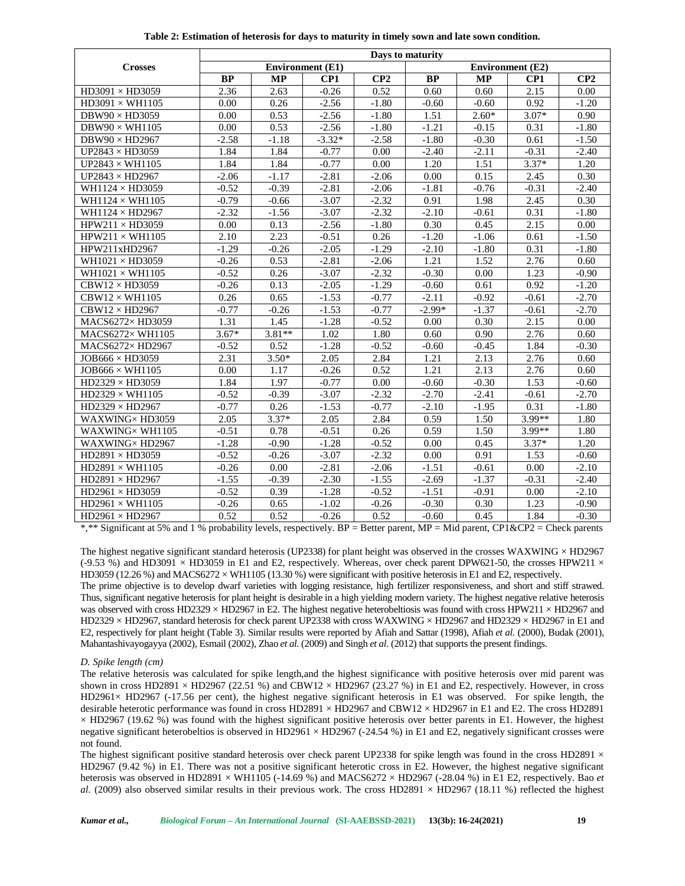|                         | Days to maturity |           |                         |         |           |                         |         |         |  |  |
|-------------------------|------------------|-----------|-------------------------|---------|-----------|-------------------------|---------|---------|--|--|
| <b>Crosses</b>          |                  |           | <b>Environment</b> (E1) |         |           | <b>Environment</b> (E2) |         |         |  |  |
|                         | <b>BP</b>        | <b>MP</b> | CP1                     | CP2     | <b>BP</b> | <b>MP</b>               | CP1     | CP2     |  |  |
| $HD3091 \times HD3059$  | 2.36             | 2.63      | $-0.26$                 | 0.52    | 0.60      | 0.60                    | 2.15    | 0.00    |  |  |
| $HD3091 \times WH1105$  | 0.00             | 0.26      | $-2.56$                 | $-1.80$ | $-0.60$   | $-0.60$                 | 0.92    | $-1.20$ |  |  |
| $DBW90 \times HD3059$   | 0.00             | 0.53      | $-2.56$                 | $-1.80$ | 1.51      | $2.60*$                 | $3.07*$ | 0.90    |  |  |
| $DBW90 \times WH1105$   | 0.00             | 0.53      | $-2.56$                 | $-1.80$ | $-1.21$   | $-0.15$                 | 0.31    | $-1.80$ |  |  |
| $DBW90 \times HD2967$   | $-2.58$          | $-1.18$   | $-3.32*$                | $-2.58$ | $-1.80$   | $-0.30$                 | 0.61    | $-1.50$ |  |  |
| UP2843 $\times$ HD3059  | 1.84             | 1.84      | $-0.77$                 | 0.00    | $-2.40$   | $-2.11$                 | $-0.31$ | $-2.40$ |  |  |
| UP2843 $\times$ WH1105  | 1.84             | 1.84      | $-0.77$                 | 0.00    | 1.20      | 1.51                    | $3.37*$ | 1.20    |  |  |
| UP2843 $\times$ HD2967  | $-2.06$          | $-1.17$   | $-2.81$                 | $-2.06$ | 0.00      | 0.15                    | 2.45    | 0.30    |  |  |
| WH1124 × HD3059         | $-0.52$          | $-0.39$   | $-2.81$                 | $-2.06$ | $-1.81$   | $-0.76$                 | $-0.31$ | $-2.40$ |  |  |
| WH1124 $\times$ WH1105  | $-0.79$          | $-0.66$   | $-3.07$                 | $-2.32$ | 0.91      | 1.98                    | 2.45    | 0.30    |  |  |
| WH1124 $\times$ HD2967  | $-2.32$          | $-1.56$   | $-3.07$                 | $-2.32$ | $-2.10$   | $-0.61$                 | 0.31    | $-1.80$ |  |  |
| $HPW211 \times HD3059$  | 0.00             | 0.13      | $-2.56$                 | $-1.80$ | 0.30      | 0.45                    | 2.15    | 0.00    |  |  |
| $HPW211 \times WH1105$  | 2.10             | 2.23      | $-0.51$                 | 0.26    | $-1.20$   | $-1.06$                 | 0.61    | $-1.50$ |  |  |
| HPW211xHD2967           | $-1.29$          | $-0.26$   | $-2.05$                 | $-1.29$ | $-2.10$   | $-1.80$                 | 0.31    | $-1.80$ |  |  |
| WH1021 × HD3059         | $-0.26$          | 0.53      | $-2.81$                 | $-2.06$ | 1.21      | 1.52                    | 2.76    | 0.60    |  |  |
| WH $1021 \times WH1105$ | $-0.52$          | 0.26      | $-3.07$                 | $-2.32$ | $-0.30$   | 0.00                    | 1.23    | $-0.90$ |  |  |
| $CBW12 \times HD3059$   | $-0.26$          | 0.13      | $-2.05$                 | $-1.29$ | $-0.60$   | 0.61                    | 0.92    | $-1.20$ |  |  |
| $CBW12 \times WH1105$   | 0.26             | 0.65      | $-1.53$                 | $-0.77$ | $-2.11$   | $-0.92$                 | $-0.61$ | $-2.70$ |  |  |
| $CBW12 \times HD2967$   | $-0.77$          | $-0.26$   | $-1.53$                 | $-0.77$ | $-2.99*$  | $-1.37$                 | $-0.61$ | $-2.70$ |  |  |
| MACS6272×HD3059         | 1.31             | 1.45      | $-1.28$                 | $-0.52$ | 0.00      | 0.30                    | 2.15    | 0.00    |  |  |
| MACS6272× WH1105        | $3.67*$          | $3.81**$  | 1.02                    | 1.80    | 0.60      | 0.90                    | 2.76    | 0.60    |  |  |
| MACS6272×HD2967         | $-0.52$          | 0.52      | $-1.28$                 | $-0.52$ | $-0.60$   | $-0.45$                 | 1.84    | $-0.30$ |  |  |
| $JOB666 \times HD3059$  | 2.31             | $3.50*$   | 2.05                    | 2.84    | 1.21      | 2.13                    | 2.76    | 0.60    |  |  |
| $JOB666 \times WH1105$  | 0.00             | 1.17      | $-0.26$                 | 0.52    | 1.21      | 2.13                    | 2.76    | 0.60    |  |  |
| $HD2329 \times HD3059$  | 1.84             | 1.97      | $-0.77$                 | 0.00    | $-0.60$   | $-0.30$                 | 1.53    | $-0.60$ |  |  |
| $HD2329 \times WH1105$  | $-0.52$          | $-0.39$   | $-3.07$                 | $-2.32$ | $-2.70$   | $-2.41$                 | $-0.61$ | $-2.70$ |  |  |
| $HD2329 \times HD2967$  | $-0.77$          | 0.26      | $-1.53$                 | $-0.77$ | $-2.10$   | $-1.95$                 | 0.31    | $-1.80$ |  |  |
| WAXWING×HD3059          | 2.05             | $3.37*$   | 2.05                    | 2.84    | 0.59      | 1.50                    | 3.99**  | 1.80    |  |  |
| WAXWING×WH1105          | $-0.51$          | 0.78      | $-0.51$                 | 0.26    | 0.59      | 1.50                    | 3.99**  | 1.80    |  |  |
| WAXWING×HD2967          | $-1.28$          | $-0.90$   | $-1.28$                 | $-0.52$ | 0.00      | 0.45                    | $3.37*$ | 1.20    |  |  |
| $HD2891 \times HD3059$  | $-0.52$          | $-0.26$   | $-3.07$                 | $-2.32$ | 0.00      | 0.91                    | 1.53    | $-0.60$ |  |  |
| $HD2891 \times WH1105$  | $-0.26$          | 0.00      | $-2.81$                 | $-2.06$ | $-1.51$   | $-0.61$                 | 0.00    | $-2.10$ |  |  |
| $HD2891 \times HD2967$  | $-1.55$          | $-0.39$   | $-2.30$                 | $-1.55$ | $-2.69$   | $-1.37$                 | $-0.31$ | $-2.40$ |  |  |
| $HD2961 \times HD3059$  | $-0.52$          | 0.39      | $-1.28$                 | $-0.52$ | $-1.51$   | $-0.91$                 | 0.00    | $-2.10$ |  |  |
| $HD2961 \times WH1105$  | $-0.26$          | 0.65      | $-1.02$                 | $-0.26$ | $-0.30$   | 0.30                    | 1.23    | $-0.90$ |  |  |
| $HD2961 \times HD2967$  | 0.52             | 0.52      | $-0.26$                 | 0.52    | $-0.60$   | 0.45                    | 1.84    | $-0.30$ |  |  |

The highest negative significant standard heterosis (UP2338) for plant height was observed in the crosses WAXWING  $\times$  HD2967 (-9.53 %) and HD3091  $\times$  HD3059 in E1 and E2, respectively. Whereas, over check parent DPW621-50, the crosses HPW211  $\times$ HD3059 (12.26 %) and MACS6272  $\times$  WH1105 (13.30 %) were significant with positive heterosis in E1 and E2, respectively.

The prime objective is to develop dwarf varieties with logging resistance, high fertilizer responsiveness, and short and stiff strawed. Thus, significant negative heterosis for plant height is desirable in a high yielding modern variety. The highest negative relative heterosis was observed with cross HD2329  $\times$  HD2967 in E2. The highest negative heterobeltiosis was found with cross HPW211  $\times$  HD2967 and HD2329 × HD2967, standard heterosis for check parent UP2338 with cross WAXWING × HD2967 and HD2329 × HD2967 in E1 and E2, respectively for plant height (Table 3). Similar results were reported by Afiah and Sattar (1998), Afiah *et al.* (2000), Budak (2001), Mahantashivayogayya (2002), Esmail (2002), Zhao *et al.* (2009) and Singh *et al.* (2012) that supports the present findings.

#### *D. Spike length (cm)*

The relative heterosis was calculated for spike length,and the highest significance with positive heterosis over mid parent was shown in cross HD2891  $\times$  HD2967 (22.51 %) and CBW12  $\times$  HD2967 (23.27 %) in E1 and E2, respectively. However, in cross HD2961× HD2967 (-17.56 per cent), the highest negative significant heterosis in E1 was observed. For spike length, the desirable heterotic performance was found in cross HD2891 × HD2967 and CBW12 × HD2967 in E1 and E2. The cross HD2891  $\times$  HD2967 (19.62 %) was found with the highest significant positive heterosis over better parents in E1. However, the highest negative significant heterobeltios is observed in HD2961 × HD2967 (-24.54 %) in E1 and E2, negatively significant crosses were not found.

The highest significant positive standard heterosis over check parent UP2338 for spike length was found in the cross HD2891  $\times$ HD2967 (9.42 %) in E1. There was not a positive significant heterotic cross in E2. However, the highest negative significant heterosis was observed in HD2891 × WH1105 (-14.69 %) and MACS6272 × HD2967 (-28.04 %) in E1 E2, respectively. Bao *et al.* (2009) also observed similar results in their previous work. The cross HD2891  $\times$  HD2967 (18.11 %) reflected the highest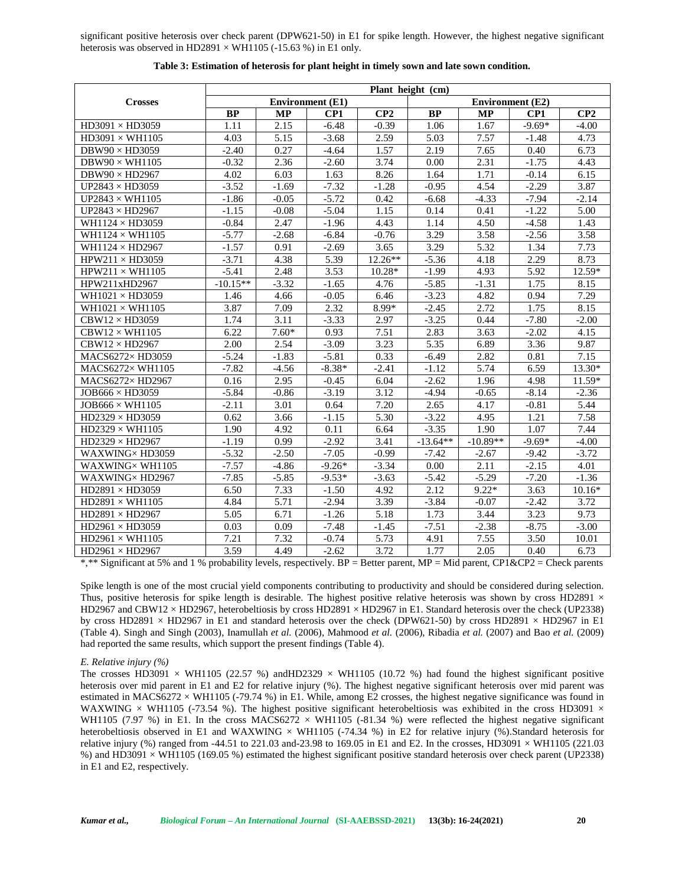significant positive heterosis over check parent (DPW621-50) in E1 for spike length. However, the highest negative significant heterosis was observed in HD2891  $\times$  WH1105 (-15.63 %) in E1 only.

|                                                 | Plant height (cm) |                         |          |                         |                   |            |          |          |  |
|-------------------------------------------------|-------------------|-------------------------|----------|-------------------------|-------------------|------------|----------|----------|--|
| <b>Crosses</b>                                  |                   | <b>Environment</b> (E1) |          | <b>Environment</b> (E2) |                   |            |          |          |  |
|                                                 | <b>BP</b>         | <b>MP</b>               | CP1      | CP2                     | <b>BP</b>         | <b>MP</b>  | CP1      | CP2      |  |
| $HD3091 \times HD3059$                          | 1.11              | 2.15                    | $-6.48$  | $-0.39$                 | 1.06              | 1.67       | $-9.69*$ | $-4.00$  |  |
| $HD3091 \times WH1105$                          | 4.03              | 5.15                    | $-3.68$  | 2.59                    | 5.03              | 7.57       | $-1.48$  | 4.73     |  |
| $DBW90 \times HD3059$                           | $-2.40$           | 0.27                    | $-4.64$  | 1.57                    | 2.19              | 7.65       | 0.40     | 6.73     |  |
| $DBW90 \times WH1105$                           | $-0.32$           | 2.36                    | $-2.60$  | 3.74                    | 0.00              | 2.31       | $-1.75$  | 4.43     |  |
| $DBW90 \times HD2967$                           | 4.02              | 6.03                    | 1.63     | 8.26                    | 1.64              | 1.71       | $-0.14$  | 6.15     |  |
| UP2843 $\times$ HD3059                          | $-3.52$           | $-1.69$                 | $-7.32$  | $-1.28$                 | $-0.95$           | 4.54       | $-2.29$  | 3.87     |  |
| UP2843 $\times$ WH1105                          | $-1.86$           | $-0.05$                 | $-5.72$  | 0.42                    | $-6.68$           | $-4.33$    | $-7.94$  | $-2.14$  |  |
| UP2843 $\times$ HD2967                          | $-1.15$           | $-0.08$                 | $-5.04$  | 1.15                    | 0.14              | 0.41       | $-1.22$  | 5.00     |  |
| WH1124 $\times$ HD3059                          | $-0.84$           | 2.47                    | $-1.96$  | 4.43                    | 1.14              | 4.50       | $-4.58$  | 1.43     |  |
| WH1124 $\times$ WH1105                          | $-5.77$           | $-2.68$                 | $-6.84$  | $-0.76$                 | 3.29              | 3.58       | $-2.56$  | 3.58     |  |
| WH1124 $\times$ HD2967                          | $-1.57$           | 0.91                    | $-2.69$  | 3.65                    | 3.29              | 5.32       | 1.34     | 7.73     |  |
| $HPW211 \times HD3059$                          | $-3.71$           | 4.38                    | 5.39     | 12.26**                 | $-5.36$           | 4.18       | 2.29     | 8.73     |  |
| $HPW211 \times WH1105$                          | $-5.41$           | 2.48                    | 3.53     | $10.28*$                | $-1.99$           | 4.93       | 5.92     | 12.59*   |  |
| HPW211xHD2967                                   | $-10.15**$        | $-3.32$                 | $-1.65$  | 4.76                    | $-5.85$           | $-1.31$    | 1.75     | 8.15     |  |
| WH $1021 \times$ HD $3059$                      | 1.46              | 4.66                    | $-0.05$  | 6.46                    | $-3.23$           | 4.82       | 0.94     | 7.29     |  |
| WH $1021 \times WH1105$                         | 3.87              | 7.09                    | 2.32     | 8.99*                   | $-2.45$           | 2.72       | 1.75     | 8.15     |  |
| $CBW12 \times HD3059$                           | 1.74              | 3.11                    | $-3.33$  | 2.97                    | $-3.25$           | 0.44       | $-7.80$  | $-2.00$  |  |
| $CBW12 \times WH1105$                           | 6.22              | $7.60*$                 | 0.93     | 7.51                    | 2.83              | 3.63       | $-2.02$  | 4.15     |  |
| $CBW12 \times HD2967$                           | 2.00              | 2.54                    | $-3.09$  | 3.23                    | $\overline{5.35}$ | 6.89       | 3.36     | 9.87     |  |
| MACS6272×HD3059                                 | $-5.24$           | $-1.83$                 | $-5.81$  | 0.33                    | $-6.49$           | 2.82       | 0.81     | 7.15     |  |
| MACS6272× WH1105                                | $-7.82$           | $-4.56$                 | $-8.38*$ | $-2.41$                 | $-1.12$           | 5.74       | 6.59     | 13.30*   |  |
| MACS6272× HD2967                                | 0.16              | 2.95                    | $-0.45$  | 6.04                    | $-2.62$           | 1.96       | 4.98     | 11.59*   |  |
| $JOB666 \times HD3059$                          | $-5.84$           | $-0.86$                 | $-3.19$  | 3.12                    | $-4.94$           | $-0.65$    | $-8.14$  | $-2.36$  |  |
| $JOB666 \times WH1105$                          | $-2.11$           | 3.01                    | 0.64     | 7.20                    | 2.65              | 4.17       | $-0.81$  | 5.44     |  |
| HD2329 × HD3059                                 | 0.62              | 3.66                    | $-1.15$  | 5.30                    | $-3.22$           | 4.95       | 1.21     | 7.58     |  |
| $HD2329 \times WH1105$                          | 1.90              | 4.92                    | 0.11     | 6.64                    | $-3.35$           | 1.90       | 1.07     | 7.44     |  |
| $HD2329 \times HD2967$                          | $-1.19$           | 0.99                    | $-2.92$  | 3.41                    | $-13.64**$        | $-10.89**$ | $-9.69*$ | $-4.00$  |  |
| WAXWING×HD3059                                  | $-5.32$           | $-2.50$                 | $-7.05$  | $-0.99$                 | $-7.42$           | $-2.67$    | $-9.42$  | $-3.72$  |  |
| WAXWING×WH1105                                  | $-7.57$           | $-4.86$                 | $-9.26*$ | $-3.34$                 | 0.00              | 2.11       | $-2.15$  | 4.01     |  |
| WAXWING×HD2967                                  | $-7.85$           | $-5.85$                 | $-9.53*$ | $-3.63$                 | $-5.42$           | $-5.29$    | $-7.20$  | $-1.36$  |  |
| $HD2891 \times HD3059$                          | 6.50              | 7.33                    | $-1.50$  | 4.92                    | 2.12              | $9.22*$    | 3.63     | $10.16*$ |  |
| $\overline{\text{HD}2891} \times \text{WH1105}$ | 4.84              | 5.71                    | $-2.94$  | 3.39                    | $-3.84$           | $-0.07$    | $-2.42$  | 3.72     |  |
| $HD2891 \times HD2967$                          | 5.05              | 6.71                    | $-1.26$  | 5.18                    | 1.73              | 3.44       | 3.23     | 9.73     |  |
| $HD2961 \times HD3059$                          | 0.03              | 0.09                    | $-7.48$  | $-1.45$                 | $-7.51$           | $-2.38$    | $-8.75$  | $-3.00$  |  |
| $HD2961 \times WH1105$                          | 7.21              | 7.32                    | $-0.74$  | 5.73                    | 4.91              | 7.55       | 3.50     | 10.01    |  |
| $HD2961 \times HD2967$                          | 3.59              | 4.49                    | $-2.62$  | 3.72                    | 1.77              | 2.05       | 0.40     | 6.73     |  |

**Table 3: Estimation of heterosis for plant height in timely sown and late sown condition.**

\*,\*\* Significant at 5% and 1 % probability levels, respectively. BP = Better parent, MP = Mid parent, CP1&CP2 = Check parents

Spike length is one of the most crucial yield components contributing to productivity and should be considered during selection. Thus, positive heterosis for spike length is desirable. The highest positive relative heterosis was shown by cross HD2891  $\times$ HD2967 and CBW12 × HD2967, heterobeltiosis by cross HD2891 × HD2967 in E1. Standard heterosis over the check (UP2338) by cross HD2891 × HD2967 in E1 and standard heterosis over the check (DPW621-50) by cross HD2891 × HD2967 in E1 (Table 4). Singh and Singh (2003), Inamullah *et al.* (2006), Mahmood *et al.* (2006), Ribadia *et al.* (2007) and Bao *et al.* (2009) had reported the same results, which support the present findings (Table 4).

# *E. Relative injury (%)*

The crosses HD3091  $\times$  WH1105 (22.57 %) andHD2329  $\times$  WH1105 (10.72 %) had found the highest significant positive heterosis over mid parent in E1 and E2 for relative injury (%). The highest negative significant heterosis over mid parent was estimated in MACS6272  $\times$  WH1105 (-79.74 %) in E1. While, among E2 crosses, the highest negative significance was found in WAXWING  $\times$  WH1105 (-73.54 %). The highest positive significant heterobeltiosis was exhibited in the cross HD3091  $\times$ WH1105 (7.97 %) in E1. In the cross MACS6272  $\times$  WH1105 (-81.34 %) were reflected the highest negative significant heterobeltiosis observed in E1 and WAXWING  $\times$  WH1105 (-74.34 %) in E2 for relative injury (%).Standard heterosis for relative injury (%) ranged from -44.51 to 221.03 and-23.98 to 169.05 in E1 and E2. In the crosses, HD3091  $\times$  WH1105 (221.03 %) and HD3091 × WH1105 (169.05 %) estimated the highest significant positive standard heterosis over check parent (UP2338) in E1 and E2, respectively.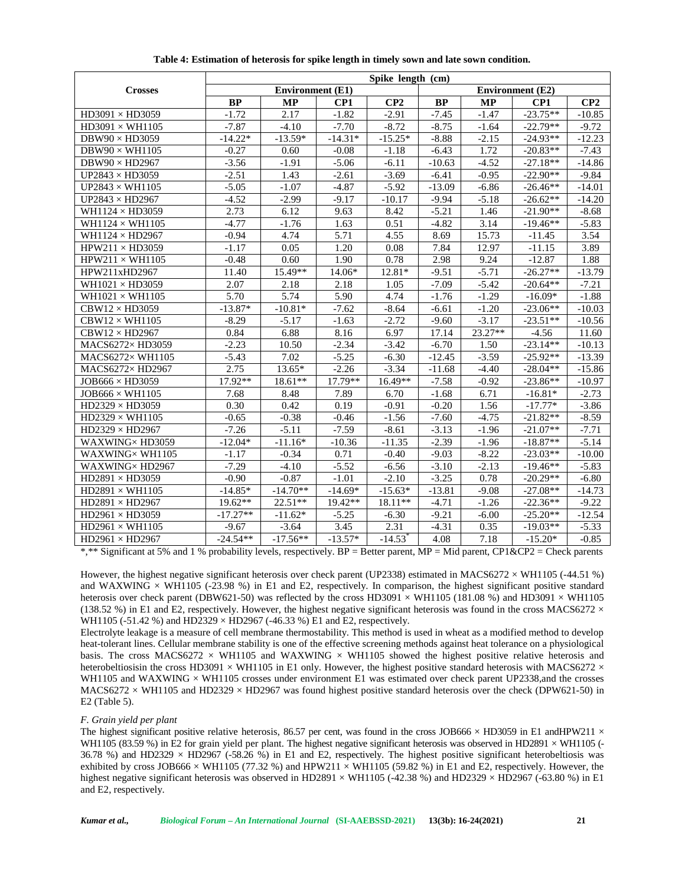|                                                 | Spike length (cm) |                         |           |                         |           |           |            |          |  |  |  |
|-------------------------------------------------|-------------------|-------------------------|-----------|-------------------------|-----------|-----------|------------|----------|--|--|--|
| <b>Crosses</b>                                  |                   | <b>Environment</b> (E1) |           | <b>Environment</b> (E2) |           |           |            |          |  |  |  |
|                                                 | <b>BP</b>         | <b>MP</b>               | CP1       | CP2                     | <b>BP</b> | <b>MP</b> | CP1        | CP2      |  |  |  |
| $HD3091\times HD3059$                           | $-1.72$           | 2.17                    | $-1.82$   | $-2.91$                 | $-7.45$   | $-1.47$   | $-23.75**$ | $-10.85$ |  |  |  |
| $HD3091 \times WH1105$                          | $-7.87$           | $-4.10$                 | $-7.70$   | $-8.72$                 | $-8.75$   | $-1.64$   | $-22.79**$ | $-9.72$  |  |  |  |
| $DBW90 \times HD3059$                           | $-14.22*$         | $-13.59*$               | $-14.31*$ | $-15.25*$               | $-8.88$   | $-2.15$   | $-24.93**$ | $-12.23$ |  |  |  |
| DBW90 $\times$ WH1105                           | $-0.27$           | 0.60                    | $-0.08$   | $-1.18$                 | $-6.43$   | 1.72      | $-20.83**$ | $-7.43$  |  |  |  |
| $\overline{DBW}90 \times HD2967$                | $-3.56$           | $-1.91$                 | $-5.06$   | $-6.11$                 | $-10.63$  | $-4.52$   | $-27.18**$ | $-14.86$ |  |  |  |
| UP2843 $\times$ HD3059                          | $-2.51$           | 1.43                    | $-2.61$   | $-3.69$                 | $-6.41$   | $-0.95$   | $-22.90**$ | $-9.84$  |  |  |  |
| UP2843 $\times$ WH1105                          | $-5.05$           | $-1.07$                 | $-4.87$   | $-5.92$                 | $-13.09$  | $-6.86$   | $-26.46**$ | $-14.01$ |  |  |  |
| UP2843 $\times$ HD2967                          | $-4.52$           | $-2.99$                 | $-9.17$   | $-10.17$                | $-9.94$   | $-5.18$   | $-26.62**$ | $-14.20$ |  |  |  |
| WH1124 $\times$ HD3059                          | 2.73              | 6.12                    | 9.63      | 8.42                    | $-5.21$   | 1.46      | $-21.90**$ | $-8.68$  |  |  |  |
| WH1124 $\times$ WH1105                          | $-4.77$           | $-1.76$                 | 1.63      | 0.51                    | $-4.82$   | 3.14      | $-19.46**$ | $-5.83$  |  |  |  |
| WH1124 $\times$ HD2967                          | $-0.94$           | 4.74                    | 5.71      | 4.55                    | 8.69      | 15.73     | $-11.45$   | 3.54     |  |  |  |
| $HPW211 \times HD3059$                          | $-1.17$           | 0.05                    | 1.20      | 0.08                    | 7.84      | 12.97     | $-11.15$   | 3.89     |  |  |  |
| $HPW211 \times WH1105$                          | $-0.48$           | 0.60                    | 1.90      | 0.78                    | 2.98      | 9.24      | $-12.87$   | 1.88     |  |  |  |
| HPW211xHD2967                                   | 11.40             | 15.49**                 | 14.06*    | $12.81*$                | $-9.51$   | $-5.71$   | $-26.27**$ | $-13.79$ |  |  |  |
| WH $1021 \times$ HD $3059$                      | 2.07              | 2.18                    | 2.18      | 1.05                    | $-7.09$   | $-5.42$   | $-20.64**$ | $-7.21$  |  |  |  |
| WH $1021 \times WH1105$                         | 5.70              | 5.74                    | 5.90      | 4.74                    | $-1.76$   | $-1.29$   | $-16.09*$  | $-1.88$  |  |  |  |
| $CBW12 \times HD3059$                           | $-13.87*$         | $-10.81*$               | $-7.62$   | $-8.64$                 | $-6.61$   | $-1.20$   | $-23.06**$ | $-10.03$ |  |  |  |
| $CBW12 \times WH1105$                           | $-8.29$           | $-5.17$                 | $-1.63$   | $-2.72$                 | $-9.60$   | $-3.17$   | $-23.51**$ | $-10.56$ |  |  |  |
| $CBW12 \times HD2967$                           | 0.84              | 6.88                    | 8.16      | 6.97                    | 17.14     | 23.27**   | $-4.56$    | 11.60    |  |  |  |
| MACS6272×HD3059                                 | $-2.23$           | 10.50                   | $-2.34$   | $-3.42$                 | $-6.70$   | 1.50      | $-23.14**$ | $-10.13$ |  |  |  |
| MACS6272× WH1105                                | $-5.43$           | 7.02                    | $-5.25$   | $-6.30$                 | $-12.45$  | $-3.59$   | $-25.92**$ | $-13.39$ |  |  |  |
| MACS6272×HD2967                                 | 2.75              | 13.65*                  | $-2.26$   | $-3.34$                 | $-11.68$  | $-4.40$   | $-28.04**$ | $-15.86$ |  |  |  |
| $JOB666 \times HD3059$                          | 17.92**           | 18.61**                 | $17.79**$ | 16.49**                 | $-7.58$   | $-0.92$   | $-23.86**$ | $-10.97$ |  |  |  |
| $JOB666 \times WH1105$                          | 7.68              | 8.48                    | 7.89      | 6.70                    | $-1.68$   | 6.71      | $-16.81*$  | $-2.73$  |  |  |  |
| $HD2329 \times HD3059$                          | 0.30              | 0.42                    | 0.19      | $-0.91$                 | $-0.20$   | 1.56      | $-17.77*$  | $-3.86$  |  |  |  |
| $HD2329 \times WH1105$                          | $-0.65$           | $-0.38$                 | $-0.46$   | $-1.56$                 | $-7.60$   | $-4.75$   | $-21.82**$ | $-8.59$  |  |  |  |
| $HD2329 \times HD2967$                          | $-7.26$           | $-5.11$                 | $-7.59$   | $-8.61$                 | $-3.13$   | $-1.96$   | $-21.07**$ | $-7.71$  |  |  |  |
| WAXWING×HD3059                                  | $-12.04*$         | $-11.16*$               | $-10.36$  | $-11.35$                | $-2.39$   | $-1.96$   | $-18.87**$ | $-5.14$  |  |  |  |
| WAXWING×WH1105                                  | $-1.17$           | $-0.34$                 | 0.71      | $-0.40$                 | $-9.03$   | $-8.22$   | $-23.03**$ | $-10.00$ |  |  |  |
| WAXWING×HD2967                                  | $-7.29$           | $-4.10$                 | $-5.52$   | $-6.56$                 | $-3.10$   | $-2.13$   | $-19.46**$ | $-5.83$  |  |  |  |
| $\overline{\text{HD}2891} \times \text{HD}3059$ | $-0.90$           | $-0.87$                 | $-1.01$   | $-2.10$                 | $-3.25$   | 0.78      | $-20.29**$ | $-6.80$  |  |  |  |
| $HD2891 \times WH1105$                          | $-14.85*$         | $-14.70**$              | $-14.69*$ | $-15.63*$               | $-13.81$  | $-9.08$   | $-27.08**$ | $-14.73$ |  |  |  |
| $HD2891 \times HD2967$                          | 19.62**           | $22.51**$               | $19.42**$ | 18.11**                 | $-4.71$   | $-1.26$   | $-22.36**$ | $-9.22$  |  |  |  |
| $HD2961 \times HD3059$                          | $-17.27**$        | $-11.62*$               | $-5.25$   | $-6.30$                 | $-9.21$   | $-6.00$   | $-25.20**$ | $-12.54$ |  |  |  |
| $HD2961 \times WH1105$                          | $-9.67$           | $-3.64$                 | 3.45      | 2.31                    | $-4.31$   | 0.35      | $-19.03**$ | $-5.33$  |  |  |  |
| $HD2961 \times HD2967$                          | $-24.54**$        | $-17.56**$              | $-13.57*$ | $-14.53$ <sup>*</sup>   | 4.08      | 7.18      | $-15.20*$  | $-0.85$  |  |  |  |

**Table 4: Estimation of heterosis for spike length in timely sown and late sown condition.**

However, the highest negative significant heterosis over check parent (UP2338) estimated in MACS6272  $\times$  WH1105 (-44.51 %) and WAXWING  $\times$  WH1105 (-23.98 %) in E1 and E2, respectively. In comparison, the highest significant positive standard heterosis over check parent (DBW621-50) was reflected by the cross HD3091  $\times$  WH1105 (181.08 %) and HD3091  $\times$  WH1105 (138.52 %) in E1 and E2, respectively. However, the highest negative significant heterosis was found in the cross MACS6272  $\times$ WH1105 (-51.42 %) and HD2329  $\times$  HD2967 (-46.33 %) E1 and E2, respectively.

Electrolyte leakage is a measure of cell membrane thermostability. This method is used in wheat as a modified method to develop heat-tolerant lines. Cellular membrane stability is one of the effective screening methods against heat tolerance on a physiological basis. The cross MACS6272  $\times$  WH1105 and WAXWING  $\times$  WH1105 showed the highest positive relative heterosis and heterobeltiosisin the cross HD3091  $\times$  WH1105 in E1 only. However, the highest positive standard heterosis with MACS6272  $\times$ WH1105 and WAXWING  $\times$  WH1105 crosses under environment E1 was estimated over check parent UP2338, and the crosses MACS6272  $\times$  WH1105 and HD2329  $\times$  HD2967 was found highest positive standard heterosis over the check (DPW621-50) in E2 (Table 5).

## *F. Grain yield per plant*

The highest significant positive relative heterosis, 86.57 per cent, was found in the cross JOB666  $\times$  HD3059 in E1 andHPW211  $\times$ WH1105 (83.59 %) in E2 for grain yield per plant. The highest negative significant heterosis was observed in HD2891  $\times$  WH1105 (-36.78 %) and HD2329  $\times$  HD2967 (-58.26 %) in E1 and E2, respectively. The highest positive significant heterobeltiosis was exhibited by cross JOB666  $\times$  WH1105 (77.32 %) and HPW211  $\times$  WH1105 (59.82 %) in E1 and E2, respectively. However, the highest negative significant heterosis was observed in HD2891  $\times$  WH1105 (-42.38 %) and HD2329  $\times$  HD2967 (-63.80 %) in E1 and E2, respectively.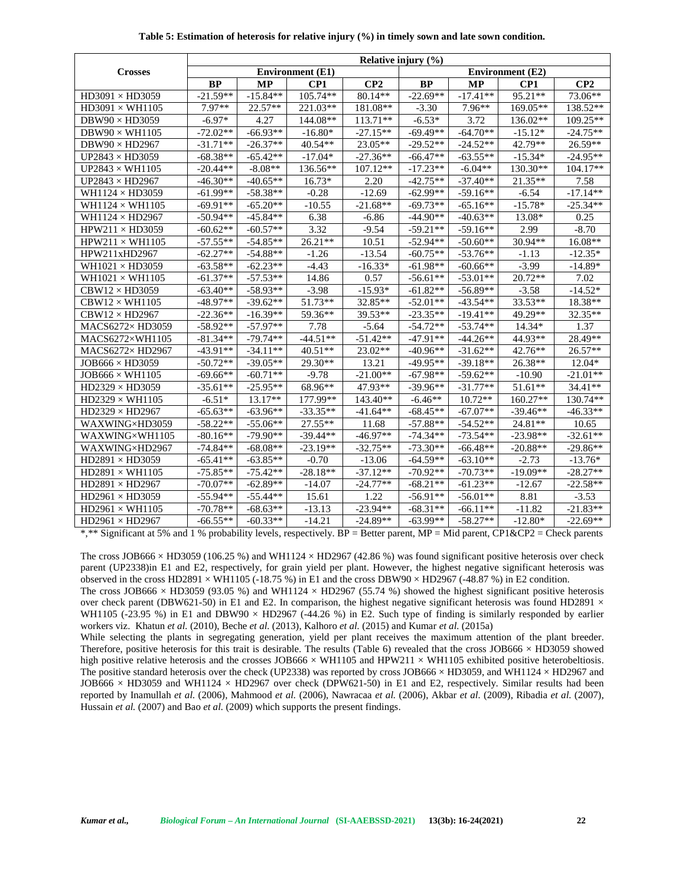|                            | Relative injury $(\% )$ |            |                         |            |                         |            |                 |            |  |  |
|----------------------------|-------------------------|------------|-------------------------|------------|-------------------------|------------|-----------------|------------|--|--|
| <b>Crosses</b>             |                         |            | <b>Environment</b> (E1) |            | <b>Environment</b> (E2) |            |                 |            |  |  |
|                            | <b>BP</b>               | <b>MP</b>  | CP <sub>1</sub>         | CP2        | <b>BP</b>               | <b>MP</b>  | CP <sub>1</sub> | CP2        |  |  |
| $HD3091 \times HD3059$     | $-21.59**$              | $-15.84**$ | 105.74**                | 80.14**    | $-22.69**$              | $-17.41**$ | 95.21**         | 73.06**    |  |  |
| $HD3091 \times WH1105$     | 7.97**                  | 22.57**    | 221.03**                | 181.08**   | $-3.30$                 | $7.96**$   | 169.05**        | 138.52**   |  |  |
| $DBW90 \times HD3059$      | $-6.97*$                | 4.27       | 144.08**                | $113.71**$ | $-6.53*$                | 3.72       | 136.02**        | 109.25**   |  |  |
| DBW90 $\times$ WH1105      | $-72.02**$              | $-66.93**$ | $-16.80*$               | $-27.15**$ | $-69.49**$              | $-64.70**$ | $-15.12*$       | $-24.75**$ |  |  |
| $DBW90 \times HD2967$      | $-31.71**$              | $-26.37**$ | 40.54**                 | $23.05**$  | $-29.52**$              | $-24.52**$ | 42.79**         | 26.59**    |  |  |
| UP2843 $\times$ HD3059     | $-68.38**$              | $-65.42**$ | $-17.04*$               | $-27.36**$ | $-66.47**$              | $-63.55**$ | $-15.34*$       | $-24.95**$ |  |  |
| UP2843 $\times$ WH1105     | $-20.44**$              | $-8.08**$  | 136.56**                | $107.12**$ | $-17.23**$              | $-6.04**$  | 130.30**        | $104.17**$ |  |  |
| UP2843 $\times$ HD2967     | $-46.30**$              | $-40.65**$ | $16.73*$                | 2.20       | $-42.75**$              | $-37.40**$ | 21.35**         | 7.58       |  |  |
| WH1124 $\times$ HD3059     | $-61.99**$              | $-58.38**$ | $-0.28$                 | $-12.69$   | $-62.99**$              | $-59.16**$ | $-6.54$         | $-17.14**$ |  |  |
| WH1124 $\times$ WH1105     | $-69.91**$              | $-65.20**$ | $-10.55$                | $-21.68**$ | $-69.73**$              | $-65.16**$ | $-15.78*$       | $-25.34**$ |  |  |
| WH1124 $\times$ HD2967     | $-50.94**$              | $-45.84**$ | 6.38                    | $-6.86$    | $-44.90**$              | $-40.63**$ | 13.08*          | 0.25       |  |  |
| $HPW211 \times HD3059$     | $-60.62**$              | $-60.57**$ | 3.32                    | $-9.54$    | $-59.21**$              | $-59.16**$ | 2.99            | $-8.70$    |  |  |
| $HPW211 \times WH1105$     | $-57.55**$              | $-54.85**$ | $26.21**$               | 10.51      | $-52.94**$              | $-50.60**$ | $30.94**$       | $16.08**$  |  |  |
| HPW211xHD2967              | $-62.27**$              | $-54.88**$ | $-1.26$                 | $-13.54$   | $-60.75**$              | $-53.76**$ | $-1.13$         | $-12.35*$  |  |  |
| WH $1021 \times$ HD $3059$ | $-63.58**$              | $-62.23**$ | $-4.43$                 | $-16.33*$  | $-61.98**$              | $-60.66**$ | $-3.99$         | $-14.89*$  |  |  |
| WH $1021 \times WH1105$    | $-61.37**$              | $-57.53**$ | 14.86                   | 0.57       | $-56.61**$              | $-53.01**$ | $20.72**$       | 7.02       |  |  |
| $CBW12 \times HD3059$      | $-63.40**$              | $-58.93**$ | $-3.98$                 | $-15.93*$  | $-61.82**$              | $-56.89**$ | $-3.58$         | $-14.52*$  |  |  |
| $CBW12 \times WH1105$      | $-48.97**$              | $-39.62**$ | 51.73**                 | 32.85**    | $-52.01**$              | $-43.54**$ | 33.53**         | 18.38**    |  |  |
| $CBW12 \times HD2967$      | $-22.36**$              | $-16.39**$ | 59.36**                 | 39.53**    | $-23.35**$              | $-19.41**$ | 49.29**         | $32.35**$  |  |  |
| MACS6272×HD3059            | $-58.92**$              | $-57.97**$ | 7.78                    | $-5.64$    | $-54.72**$              | $-53.74**$ | 14.34*          | 1.37       |  |  |
| MACS6272×WH1105            | $-81.34**$              | $-79.74**$ | $-44.51**$              | $-51.42**$ | $-47.91**$              | $-44.26**$ | 44.93**         | 28.49**    |  |  |
| MACS6272×HD2967            | $-43.91**$              | $-34.11**$ | $40.51**$               | $23.02**$  | $-40.96**$              | $-31.62**$ | $42.76**$       | 26.57**    |  |  |
| $JOB666 \times HD3059$     | $-50.72**$              | $-39.05**$ | $29.30**$               | 13.21      | $-49.95**$              | $-39.18**$ | 26.38**         | $12.04*$   |  |  |
| $JOB666 \times WH1105$     | $-69.66**$              | $-60.71**$ | $-9.78$                 | $-21.00**$ | $-67.98**$              | $-59.62**$ | $-10.90$        | $-21.01**$ |  |  |
| $HD2329 \times HD3059$     | $-35.61**$              | $-25.95**$ | 68.96**                 | 47.93**    | $-39.96**$              | $-31.77**$ | $51.61**$       | $34.41**$  |  |  |
| $HD2329 \times WH1105$     | $-6.51*$                | $13.17**$  | 177.99**                | 143.40**   | $-6.46**$               | $10.72**$  | 160.27**        | 130.74**   |  |  |
| $HD2329 \times HD2967$     | $-65.63**$              | $-63.96**$ | $-33.35**$              | $-41.64**$ | $-68.45**$              | $-67.07**$ | $-39.46**$      | $-46.33**$ |  |  |
| WAXWING×HD3059             | $-58.22**$              | $-55.06**$ | $27.55**$               | 11.68      | $-57.88**$              | $-54.52**$ | $24.81**$       | 10.65      |  |  |
| WAXWING×WH1105             | $-80.16**$              | $-79.90**$ | $-39.44**$              | $-46.97**$ | $-74.34**$              | $-73.54**$ | $-23.98**$      | $-32.61**$ |  |  |
| WAXWING×HD2967             | $-74.84**$              | $-68.08**$ | $-23.19**$              | $-32.75**$ | $-73.30**$              | $-66.48**$ | $-20.88**$      | $-29.86**$ |  |  |
| $HD2891 \times HD3059$     | $-65.41**$              | $-63.85**$ | $-0.70$                 | $-13.06$   | $-64.59**$              | $-63.10**$ | $-2.73$         | $-13.76*$  |  |  |
| $HD2891 \times WH1105$     | $-75.85**$              | $-75.42**$ | $-28.18**$              | $-37.12**$ | $-70.92**$              | $-70.73**$ | $-19.09**$      | $-28.27**$ |  |  |
| $HD2891 \times HD2967$     | $-70.07**$              | $-62.89**$ | $-14.07$                | $-24.77**$ | $-68.21**$              | $-61.23**$ | $-12.67$        | $-22.58**$ |  |  |
| $HD2961 \times HD3059$     | $-55.94**$              | $-55.44**$ | 15.61                   | 1.22       | $-56.91**$              | $-56.01**$ | 8.81            | $-3.53$    |  |  |
| $HD2961 \times WH1105$     | $-70.78**$              | $-68.63**$ | $-13.13$                | $-23.94**$ | $-68.31**$              | $-66.11**$ | $-11.82$        | $-21.83**$ |  |  |
| $HD2961 \times HD2967$     | $-66.55**$              | $-60.33**$ | $-14.21$                | $-24.89**$ | $-63.99**$              | $-58.27**$ | $-12.80*$       | $-22.69**$ |  |  |

**Table 5: Estimation of heterosis for relative injury (%) in timely sown and late sown condition.**

The cross JOB666  $\times$  HD3059 (106.25 %) and WH1124  $\times$  HD2967 (42.86 %) was found significant positive heterosis over check parent (UP2338)in E1 and E2, respectively, for grain yield per plant. However, the highest negative significant heterosis was observed in the cross HD2891  $\times$  WH1105 (-18.75 %) in E1 and the cross DBW90  $\times$  HD2967 (-48.87 %) in E2 condition.

The cross JOB666 × HD3059 (93.05 %) and WH1124 × HD2967 (55.74 %) showed the highest significant positive heterosis over check parent (DBW621-50) in E1 and E2. In comparison, the highest negative significant heterosis was found HD2891  $\times$ WH1105 (-23.95 %) in E1 and DBW90  $\times$  HD2967 (-44.26 %) in E2. Such type of finding is similarly responded by earlier workers viz. Khatun *et al.* (2010), Beche *et al.* (2013), Kalhoro *et al.* (2015) and Kumar *et al.* (2015a)

While selecting the plants in segregating generation, yield per plant receives the maximum attention of the plant breeder. Therefore, positive heterosis for this trait is desirable. The results (Table 6) revealed that the cross JOB666  $\times$  HD3059 showed high positive relative heterosis and the crosses JOB666  $\times$  WH1105 and HPW211  $\times$  WH1105 exhibited positive heterobeltiosis. The positive standard heterosis over the check (UP2338) was reported by cross JOB666  $\times$  HD3059, and WH1124  $\times$  HD2967 and JOB666  $\times$  HD3059 and WH1124  $\times$  HD2967 over check (DPW621-50) in E1 and E2, respectively. Similar results had been reported by Inamullah *et al.* (2006), Mahmood *et al.* (2006), Nawracaa *et al.* (2006), Akbar *et al.* (2009), Ribadia *et al.* (2007), Hussain *et al.* (2007) and Bao *et al.* (2009) which supports the present findings.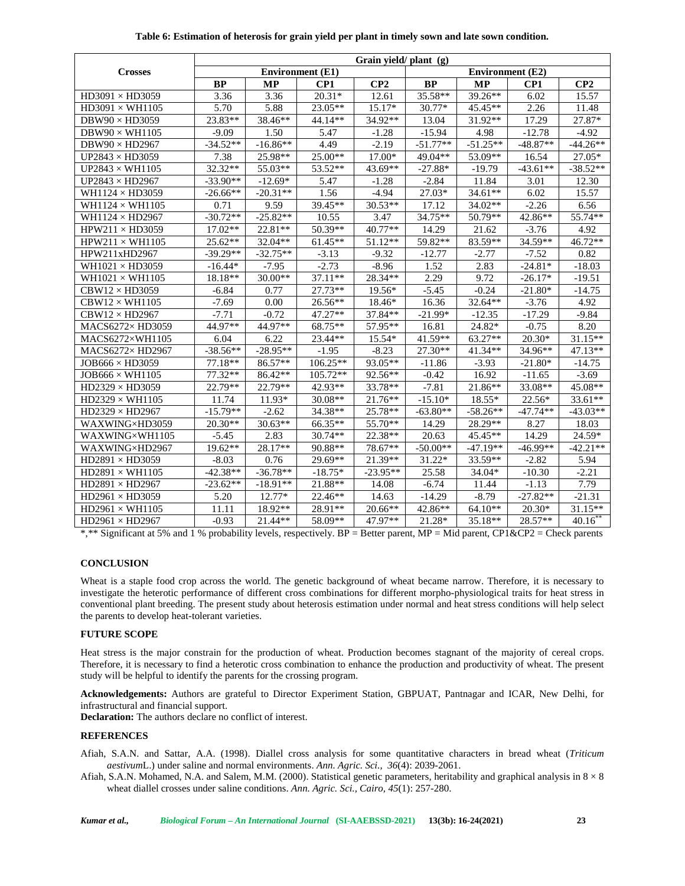| Table 6: Estimation of heterosis for grain yield per plant in timely sown and late sown condition. |  |
|----------------------------------------------------------------------------------------------------|--|
|----------------------------------------------------------------------------------------------------|--|

|                            | Grain yield/ plant (g) |            |                         |                         |            |            |            |                |  |  |
|----------------------------|------------------------|------------|-------------------------|-------------------------|------------|------------|------------|----------------|--|--|
| <b>Crosses</b>             |                        |            | <b>Environment</b> (E1) | <b>Environment</b> (E2) |            |            |            |                |  |  |
|                            | <b>BP</b>              | <b>MP</b>  | CP1                     | CP2                     | <b>BP</b>  | <b>MP</b>  | CP1        | CP2            |  |  |
| $HD3091 \times HD3059$     | 3.36                   | 3.36       | $20.31*$                | 12.61                   | 35.58**    | $39.26**$  | 6.02       | 15.57          |  |  |
| $HD3091 \times WH1105$     | 5.70                   | 5.88       | 23.05**                 | 15.17*                  | $30.77*$   | $45.45**$  | 2.26       | 11.48          |  |  |
| $DBW90 \times HD3059$      | $23.83**$              | 38.46**    | $44.14**$               | 34.92**                 | 13.04      | $31.92**$  | 17.29      | 27.87*         |  |  |
| DBW90 $\times$ WH1105      | $-9.09$                | 1.50       | 5.47                    | $-1.28$                 | $-15.94$   | 4.98       | $-12.78$   | $-4.92$        |  |  |
| DBW90 $\times$ HD2967      | $-34.52**$             | $-16.86**$ | 4.49                    | $-2.19$                 | $-51.77**$ | $-51.25**$ | $-48.87**$ | $-44.26**$     |  |  |
| UP2843 $\times$ HD3059     | 7.38                   | 25.98**    | $25.00**$               | $17.00*$                | 49.04**    | 53.09**    | 16.54      | $27.05*$       |  |  |
| UP2843 $\times$ WH1105     | $32.32**$              | 55.03**    | $53.52**$               | 43.69**                 | $-27.88*$  | $-19.79$   | $-43.61**$ | $-38.52**$     |  |  |
| UP2843 $\times$ HD2967     | $-33.90**$             | $-12.69*$  | 5.47                    | $-1.28$                 | $-2.84$    | 11.84      | 3.01       | 12.30          |  |  |
| WH1124 $\times$ HD3059     | $-26.66**$             | $-20.31**$ | 1.56                    | $-4.94$                 | $27.03*$   | 34.61**    | 6.02       | 15.57          |  |  |
| WH1124 $\times$ WH1105     | 0.71                   | 9.59       | 39.45**                 | $30.53**$               | 17.12      | $34.02**$  | $-2.26$    | 6.56           |  |  |
| WH1124 $\times$ HD2967     | $-30.72**$             | $-25.82**$ | 10.55                   | 3.47                    | $34.75**$  | $50.79**$  | 42.86**    | 55.74**        |  |  |
| $HPW211 \times HD3059$     | $17.02**$              | 22.81**    | $50.39**$               | $40.77**$               | 14.29      | 21.62      | $-3.76$    | 4.92           |  |  |
| $HPW211 \times WH1105$     | $25.62**$              | $32.04**$  | $61.45**$               | $51.12**$               | 59.82**    | 83.59**    | 34.59**    | $46.72**$      |  |  |
| HPW211xHD2967              | $-39.29**$             | $-32.75**$ | $-3.13$                 | $-9.32$                 | $-12.77$   | $-2.77$    | $-7.52$    | 0.82           |  |  |
| WH $1021 \times$ HD $3059$ | $-16.44*$              | $-7.95$    | $-2.73$                 | $-8.96$                 | 1.52       | 2.83       | $-24.81*$  | $-18.03$       |  |  |
| WH $1021 \times WH1105$    | 18.18**                | $30.00**$  | $37.11**$               | 28.34**                 | 2.29       | 9.72       | $-26.17*$  | $-19.51$       |  |  |
| $CBW12 \times HD3059$      | $-6.84$                | 0.77       | $27.73**$               | $19.56*$                | $-5.45$    | $-0.24$    | $-21.80*$  | $-14.75$       |  |  |
| $CBW12 \times WH1105$      | $-7.69$                | 0.00       | 26.56**                 | 18.46*                  | 16.36      | 32.64**    | $-3.76$    | 4.92           |  |  |
| $CBW12 \times HD2967$      | $-7.71$                | $-0.72$    | $47.27**$               | 37.84**                 | $-21.99*$  | $-12.35$   | $-17.29$   | $-9.84$        |  |  |
| MACS6272×HD3059            | 44.97**                | 44.97**    | 68.75**                 | 57.95**                 | 16.81      | 24.82*     | $-0.75$    | 8.20           |  |  |
| MACS6272×WH1105            | 6.04                   | 6.22       | 23.44**                 | 15.54*                  | $41.59**$  | 63.27**    | $20.30*$   | $31.15**$      |  |  |
| MACS6272×HD2967            | $-38.56**$             | $-28.95**$ | $-1.95$                 | $-8.23$                 | $27.30**$  | $41.34**$  | 34.96**    | $47.13**$      |  |  |
| $JOB666 \times HD3059$     | $77.18**$              | 86.57**    | $106.25**$              | 93.05**                 | $-11.86$   | $-3.93$    | $-21.80*$  | -14.75         |  |  |
| $JOB666 \times WH1105$     | $77.32**$              | 86.42**    | 105.72**                | 92.56**                 | $-0.42$    | 16.92      | $-11.65$   | $-3.69$        |  |  |
| $HD2329 \times HD3059$     | 22.79**                | 22.79**    | $42.93**$               | 33.78**                 | $-7.81$    | 21.86**    | 33.08**    | 45.08**        |  |  |
| $HD2329 \times WH1105$     | 11.74                  | 11.93*     | $30.08**$               | 21.76**                 | $-15.10*$  | 18.55*     | 22.56*     | $33.61**$      |  |  |
| $HD2329 \times HD2967$     | $-15.79**$             | $-2.62$    | 34.38**                 | 25.78**                 | $-63.80**$ | $-58.26**$ | $-47.74**$ | $-43.03**$     |  |  |
| WAXWING×HD3059             | $20.30**$              | $30.63**$  | 66.35**                 | 55.70**                 | 14.29      | $28.29**$  | 8.27       | 18.03          |  |  |
| WAXWING×WH1105             | $-5.45$                | 2.83       | $30.74**$               | 22.38**                 | 20.63      | $45.45**$  | 14.29      | 24.59*         |  |  |
| WAXWING×HD2967             | $19.62**$              | 28.17**    | 90.88**                 | 78.67**                 | $-50.00**$ | $-47.19**$ | $-46.99**$ | $-42.21**$     |  |  |
| $HD2891 \times HD3059$     | $-8.03$                | 0.76       | $29.69**$               | 21.39**                 | 31.22*     | $33.59**$  | $-2.82$    | 5.94           |  |  |
| $HD2891 \times WH1105$     | $-42.38**$             | $-36.78**$ | $-18.75*$               | $-23.95**$              | 25.58      | 34.04*     | $-10.30$   | $-2.21$        |  |  |
| $HD2891 \times HD2967$     | $-23.62**$             | $-18.91**$ | 21.88**                 | 14.08                   | $-6.74$    | 11.44      | $-1.13$    | 7.79           |  |  |
| $HD2961 \times HD3059$     | 5.20                   | $12.77*$   | $22.46**$               | 14.63                   | $-14.29$   | $-8.79$    | $-27.82**$ | $-21.31$       |  |  |
| $HD2961 \times WH1105$     | 11.11                  | 18.92**    | 28.91**                 | $20.66**$               | 42.86**    | $64.10**$  | $20.30*$   | $31.15**$      |  |  |
| $HD2961 \times HD2967$     | $-0.93$                | $21.44**$  | 58.09**                 | 47.97**                 | 21.28*     | $35.18**$  | 28.57**    | $40.16^{^{n}}$ |  |  |

#### **CONCLUSION**

Wheat is a staple food crop across the world. The genetic background of wheat became narrow. Therefore, it is necessary to investigate the heterotic performance of different cross combinations for different morpho-physiological traits for heat stress in conventional plant breeding. The present study about heterosis estimation under normal and heat stress conditions will help select the parents to develop heat-tolerant varieties.

# **FUTURE SCOPE**

Heat stress is the major constrain for the production of wheat. Production becomes stagnant of the majority of cereal crops. Therefore, it is necessary to find a heterotic cross combination to enhance the production and productivity of wheat. The present study will be helpful to identify the parents for the crossing program.

**Acknowledgements:** Authors are grateful to Director Experiment Station, GBPUAT, Pantnagar and ICAR, New Delhi, for infrastructural and financial support.

**Declaration:** The authors declare no conflict of interest.

## **REFERENCES**

Afiah, S.A.N. and Sattar, A.A. (1998). Diallel cross analysis for some quantitative characters in bread wheat (*Triticum aestivum*L.) under saline and normal environments. *Ann. Agric. Sci., 36*(4): 2039-2061.

Afiah, S.A.N. Mohamed, N.A. and Salem, M.M. (2000). Statistical genetic parameters, heritability and graphical analysis in  $8 \times 8$ wheat diallel crosses under saline conditions. *Ann. Agric. Sci., Cairo, 45*(1): 257-280.